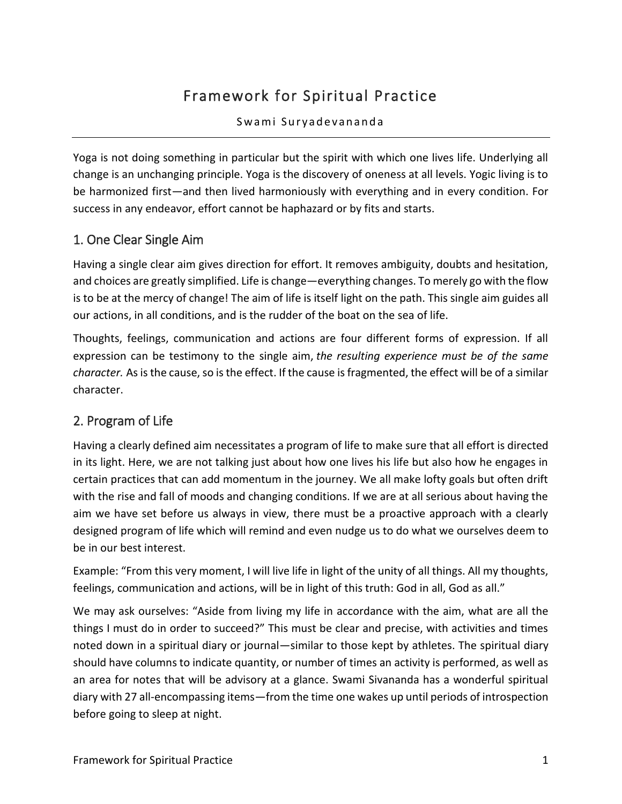# Framework for Spiritual Practice

#### Swami Suryadevananda

Yoga is not doing something in particular but the spirit with which one lives life. Underlying all change is an unchanging principle. Yoga is the discovery of oneness at all levels. Yogic living is to be harmonized first—and then lived harmoniously with everything and in every condition. For success in any endeavor, effort cannot be haphazard or by fits and starts.

### 1. One Clear Single Aim

Having a single clear aim gives direction for effort. It removes ambiguity, doubts and hesitation, and choices are greatly simplified. Life is change—everything changes. To merely go with the flow is to be at the mercy of change! The aim of life is itself light on the path. This single aim guides all our actions, in all conditions, and is the rudder of the boat on the sea of life.

Thoughts, feelings, communication and actions are four different forms of expression. If all expression can be testimony to the single aim, *the resulting experience must be of the same character.* As is the cause, so is the effect. If the cause is fragmented, the effect will be of a similar character.

# 2. Program of Life

Having a clearly defined aim necessitates a program of life to make sure that all effort is directed in its light. Here, we are not talking just about how one lives his life but also how he engages in certain practices that can add momentum in the journey. We all make lofty goals but often drift with the rise and fall of moods and changing conditions. If we are at all serious about having the aim we have set before us always in view, there must be a proactive approach with a clearly designed program of life which will remind and even nudge us to do what we ourselves deem to be in our best interest.

Example: "From this very moment, I will live life in light of the unity of all things. All my thoughts, feelings, communication and actions, will be in light of this truth: God in all, God as all."

We may ask ourselves: "Aside from living my life in accordance with the aim, what are all the things I must do in order to succeed?" This must be clear and precise, with activities and times noted down in a spiritual diary or journal—similar to those kept by athletes. The spiritual diary should have columns to indicate quantity, or number of times an activity is performed, as well as an area for notes that will be advisory at a glance. Swami Sivananda has a wonderful spiritual diary with 27 all-encompassing items—from the time one wakes up until periods of introspection before going to sleep at night.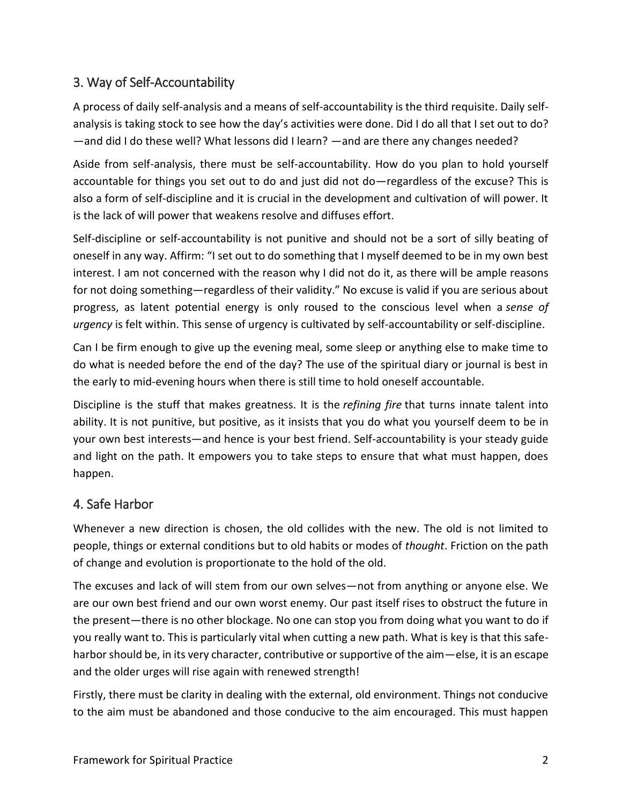# 3. Way of Self-Accountability

A process of daily self-analysis and a means of self-accountability is the third requisite. Daily selfanalysis is taking stock to see how the day's activities were done. Did I do all that I set out to do? —and did I do these well? What lessons did I learn? —and are there any changes needed?

Aside from self-analysis, there must be self-accountability. How do you plan to hold yourself accountable for things you set out to do and just did not do—regardless of the excuse? This is also a form of self-discipline and it is crucial in the development and cultivation of will power. It is the lack of will power that weakens resolve and diffuses effort.

Self-discipline or self-accountability is not punitive and should not be a sort of silly beating of oneself in any way. Affirm: "I set out to do something that I myself deemed to be in my own best interest. I am not concerned with the reason why I did not do it, as there will be ample reasons for not doing something—regardless of their validity." No excuse is valid if you are serious about progress, as latent potential energy is only roused to the conscious level when a *sense of urgency* is felt within. This sense of urgency is cultivated by self-accountability or self-discipline.

Can I be firm enough to give up the evening meal, some sleep or anything else to make time to do what is needed before the end of the day? The use of the spiritual diary or journal is best in the early to mid-evening hours when there is still time to hold oneself accountable.

Discipline is the stuff that makes greatness. It is the *refining fire* that turns innate talent into ability. It is not punitive, but positive, as it insists that you do what you yourself deem to be in your own best interests—and hence is your best friend. Self-accountability is your steady guide and light on the path. It empowers you to take steps to ensure that what must happen, does happen.

### 4. Safe Harbor

Whenever a new direction is chosen, the old collides with the new. The old is not limited to people, things or external conditions but to old habits or modes of *thought*. Friction on the path of change and evolution is proportionate to the hold of the old.

The excuses and lack of will stem from our own selves—not from anything or anyone else. We are our own best friend and our own worst enemy. Our past itself rises to obstruct the future in the present—there is no other blockage. No one can stop you from doing what you want to do if you really want to. This is particularly vital when cutting a new path. What is key is that this safeharbor should be, in its very character, contributive or supportive of the aim—else, it is an escape and the older urges will rise again with renewed strength!

Firstly, there must be clarity in dealing with the external, old environment. Things not conducive to the aim must be abandoned and those conducive to the aim encouraged. This must happen